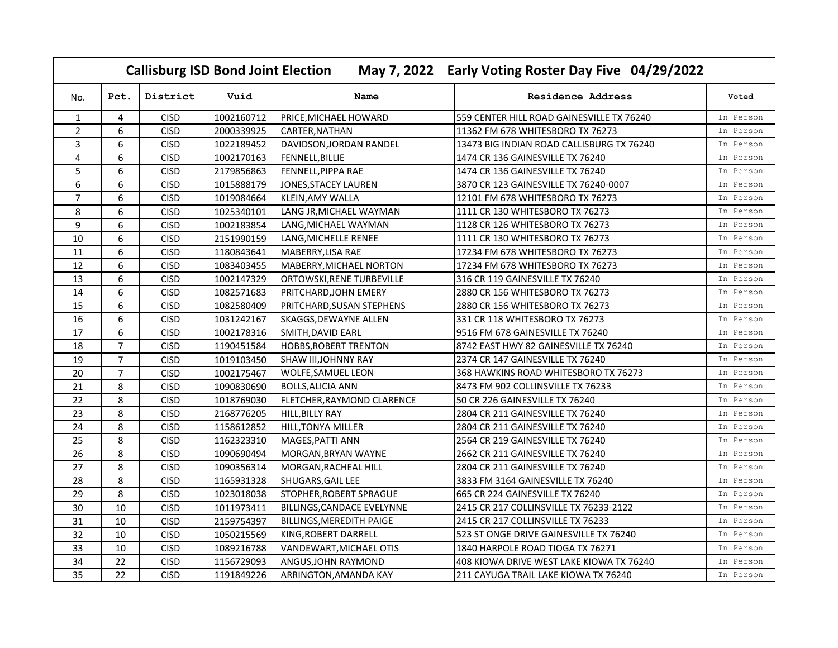|                |                |             | <b>Callisburg ISD Bond Joint Election</b> |                                   | May 7, 2022 Early Voting Roster Day Five 04/29/2022 |           |
|----------------|----------------|-------------|-------------------------------------------|-----------------------------------|-----------------------------------------------------|-----------|
| No.            | Pct.           | District    | Vuid                                      | Name                              | Residence Address                                   | Voted     |
| $\mathbf{1}$   | 4              | <b>CISD</b> | 1002160712                                | PRICE, MICHAEL HOWARD             | 559 CENTER HILL ROAD GAINESVILLE TX 76240           | In Person |
| 2              | 6              | <b>CISD</b> | 2000339925                                | CARTER, NATHAN                    | 11362 FM 678 WHITESBORO TX 76273                    | In Person |
| 3              | 6              | <b>CISD</b> | 1022189452                                | DAVIDSON, JORDAN RANDEL           | 13473 BIG INDIAN ROAD CALLISBURG TX 76240           | In Person |
| 4              | 6              | <b>CISD</b> | 1002170163                                | <b>FENNELL, BILLIE</b>            | 1474 CR 136 GAINESVILLE TX 76240                    | In Person |
| 5              | 6              | <b>CISD</b> | 2179856863                                | FENNELL, PIPPA RAE                | 1474 CR 136 GAINESVILLE TX 76240                    | In Person |
| 6              | 6              | <b>CISD</b> | 1015888179                                | JONES, STACEY LAUREN              | 3870 CR 123 GAINESVILLE TX 76240-0007               | In Person |
| $\overline{7}$ | 6              | <b>CISD</b> | 1019084664                                | KLEIN,AMY WALLA                   | 12101 FM 678 WHITESBORO TX 76273                    | In Person |
| 8              | 6              | <b>CISD</b> | 1025340101                                | LANG JR, MICHAEL WAYMAN           | 1111 CR 130 WHITESBORO TX 76273                     | In Person |
| 9              | 6              | <b>CISD</b> | 1002183854                                | LANG, MICHAEL WAYMAN              | 1128 CR 126 WHITESBORO TX 76273                     | In Person |
| 10             | 6              | <b>CISD</b> | 2151990159                                | LANG, MICHELLE RENEE              | 1111 CR 130 WHITESBORO TX 76273                     | In Person |
| 11             | 6              | <b>CISD</b> | 1180843641                                | MABERRY, LISA RAE                 | 17234 FM 678 WHITESBORO TX 76273                    | In Person |
| 12             | 6              | <b>CISD</b> | 1083403455                                | MABERRY, MICHAEL NORTON           | 17234 FM 678 WHITESBORO TX 76273                    | In Person |
| 13             | 6              | <b>CISD</b> | 1002147329                                | ORTOWSKI, RENE TURBEVILLE         | 316 CR 119 GAINESVILLE TX 76240                     | In Person |
| 14             | 6              | <b>CISD</b> | 1082571683                                | PRITCHARD, JOHN EMERY             | 2880 CR 156 WHITESBORO TX 76273                     | In Person |
| 15             | 6              | <b>CISD</b> | 1082580409                                | PRITCHARD, SUSAN STEPHENS         | 2880 CR 156 WHITESBORO TX 76273                     | In Person |
| 16             | 6              | <b>CISD</b> | 1031242167                                | SKAGGS, DEWAYNE ALLEN             | 331 CR 118 WHITESBORO TX 76273                      | In Person |
| 17             | 6              | <b>CISD</b> | 1002178316                                | SMITH, DAVID EARL                 | 9516 FM 678 GAINESVILLE TX 76240                    | In Person |
| 18             | $\overline{7}$ | <b>CISD</b> | 1190451584                                | <b>HOBBS, ROBERT TRENTON</b>      | 8742 EAST HWY 82 GAINESVILLE TX 76240               | In Person |
| 19             | $\overline{7}$ | <b>CISD</b> | 1019103450                                | <b>SHAW III, JOHNNY RAY</b>       | 2374 CR 147 GAINESVILLE TX 76240                    | In Person |
| 20             | $\overline{7}$ | <b>CISD</b> | 1002175467                                | <b>WOLFE, SAMUEL LEON</b>         | 368 HAWKINS ROAD WHITESBORO TX 76273                | In Person |
| 21             | 8              | <b>CISD</b> | 1090830690                                | <b>BOLLS, ALICIA ANN</b>          | 8473 FM 902 COLLINSVILLE TX 76233                   | In Person |
| 22             | 8              | <b>CISD</b> | 1018769030                                | FLETCHER, RAYMOND CLARENCE        | 50 CR 226 GAINESVILLE TX 76240                      | In Person |
| 23             | 8              | <b>CISD</b> | 2168776205                                | <b>HILL, BILLY RAY</b>            | 2804 CR 211 GAINESVILLE TX 76240                    | In Person |
| 24             | 8              | <b>CISD</b> | 1158612852                                | HILL, TONYA MILLER                | 2804 CR 211 GAINESVILLE TX 76240                    | In Person |
| 25             | 8              | <b>CISD</b> | 1162323310                                | <b>MAGES, PATTI ANN</b>           | 2564 CR 219 GAINESVILLE TX 76240                    | In Person |
| 26             | 8              | <b>CISD</b> | 1090690494                                | MORGAN, BRYAN WAYNE               | 2662 CR 211 GAINESVILLE TX 76240                    | In Person |
| 27             | 8              | <b>CISD</b> | 1090356314                                | MORGAN, RACHEAL HILL              | 2804 CR 211 GAINESVILLE TX 76240                    | In Person |
| 28             | 8              | <b>CISD</b> | 1165931328                                | <b>SHUGARS, GAIL LEE</b>          | 3833 FM 3164 GAINESVILLE TX 76240                   | In Person |
| 29             | 8              | <b>CISD</b> | 1023018038                                | STOPHER, ROBERT SPRAGUE           | 665 CR 224 GAINESVILLE TX 76240                     | In Person |
| 30             | 10             | <b>CISD</b> | 1011973411                                | <b>BILLINGS, CANDACE EVELYNNE</b> | 2415 CR 217 COLLINSVILLE TX 76233-2122              | In Person |
| 31             | 10             | <b>CISD</b> | 2159754397                                | <b>BILLINGS, MEREDITH PAIGE</b>   | 2415 CR 217 COLLINSVILLE TX 76233                   | In Person |
| 32             | 10             | <b>CISD</b> | 1050215569                                | KING, ROBERT DARRELL              | 523 ST ONGE DRIVE GAINESVILLE TX 76240              | In Person |
| 33             | 10             | <b>CISD</b> | 1089216788                                | VANDEWART, MICHAEL OTIS           | 1840 HARPOLE ROAD TIOGA TX 76271                    | In Person |
| 34             | 22             | <b>CISD</b> | 1156729093                                | ANGUS, JOHN RAYMOND               | 408 KIOWA DRIVE WEST LAKE KIOWA TX 76240            | In Person |
| 35             | 22             | <b>CISD</b> | 1191849226                                | ARRINGTON, AMANDA KAY             | 211 CAYUGA TRAIL LAKE KIOWA TX 76240                | In Person |